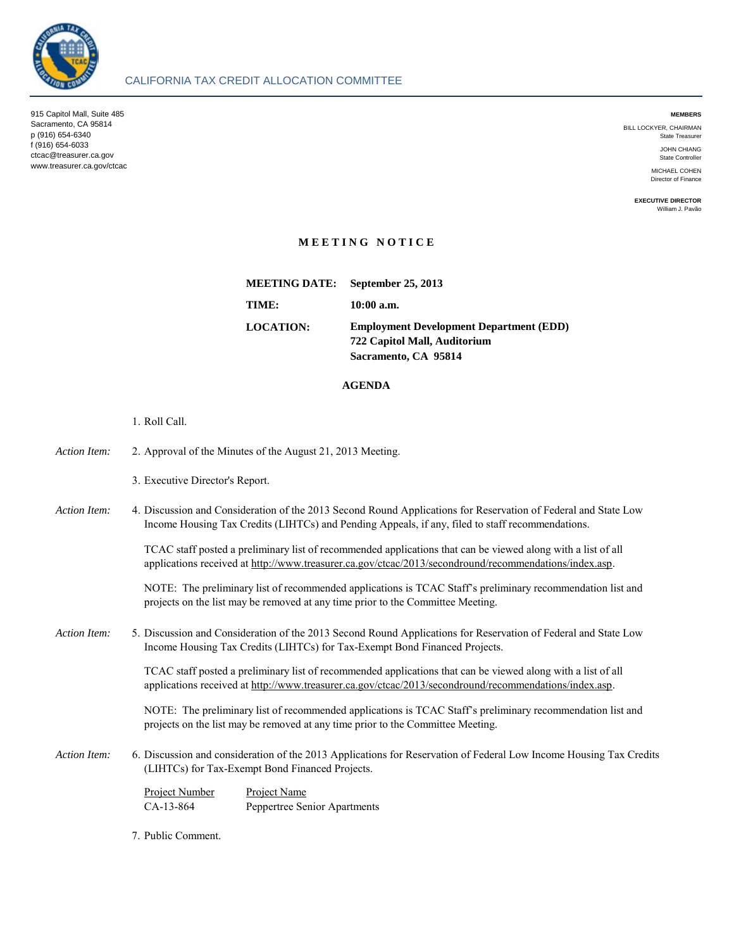

 915 Capitol Mall, Suite 485 **MEMBERS**  Sacramento, CA 95814 p (916) 654-6340 State Treasurer f (916) 654-6033 JOHN CHIANG T (916) 654-6033<br>Ctcac@treasurer.ca.gov State Controller State Controller State Controller State Controller State Controller State Controller www.treasurer.ca.gov/ctcac

BILL LOCKYER, CHAIRMAN<br>State Treasurer

MICHAEL COHEN<br>Director of Finance

**EXECUTIVE DIRECTOR**  William J. Pavão

## **M E E T I N G N O T I C E**

 **722 Capitol Mall, Auditorium Sacramento, CA 95814 MEETING DATE: September 25, 2013 TIME: 10:00 a.m. LOCATION: Employment Development Department (EDD)** 

## **AGENDA**

1. Roll Call.

| Action Item: | 2. Approval of the Minutes of the August 21, 2013 Meeting.                                                                                                                                                                                                                                                                                                                                                                                   |                                                     |
|--------------|----------------------------------------------------------------------------------------------------------------------------------------------------------------------------------------------------------------------------------------------------------------------------------------------------------------------------------------------------------------------------------------------------------------------------------------------|-----------------------------------------------------|
|              | 3. Executive Director's Report.                                                                                                                                                                                                                                                                                                                                                                                                              |                                                     |
| Action Item: | 4. Discussion and Consideration of the 2013 Second Round Applications for Reservation of Federal and State Low<br>Income Housing Tax Credits (LIHTCs) and Pending Appeals, if any, filed to staff recommendations.<br>TCAC staff posted a preliminary list of recommended applications that can be viewed along with a list of all<br>applications received at http://www.treasurer.ca.gov/ctcac/2013/secondround/recommendations/index.asp. |                                                     |
|              |                                                                                                                                                                                                                                                                                                                                                                                                                                              |                                                     |
| Action Item: | 5. Discussion and Consideration of the 2013 Second Round Applications for Reservation of Federal and State Low<br>Income Housing Tax Credits (LIHTCs) for Tax-Exempt Bond Financed Projects.                                                                                                                                                                                                                                                 |                                                     |
|              | TCAC staff posted a preliminary list of recommended applications that can be viewed along with a list of all<br>applications received at http://www.treasurer.ca.gov/ctcac/2013/secondround/recommendations/index.asp.                                                                                                                                                                                                                       |                                                     |
|              | NOTE: The preliminary list of recommended applications is TCAC Staff's preliminary recommendation list and<br>projects on the list may be removed at any time prior to the Committee Meeting.                                                                                                                                                                                                                                                |                                                     |
| Action Item: | 6. Discussion and consideration of the 2013 Applications for Reservation of Federal Low Income Housing Tax Credits<br>(LIHTCs) for Tax-Exempt Bond Financed Projects.                                                                                                                                                                                                                                                                        |                                                     |
|              | <b>Project Number</b><br>CA-13-864                                                                                                                                                                                                                                                                                                                                                                                                           | <b>Project Name</b><br>Peppertree Senior Apartments |

7. Public Comment.